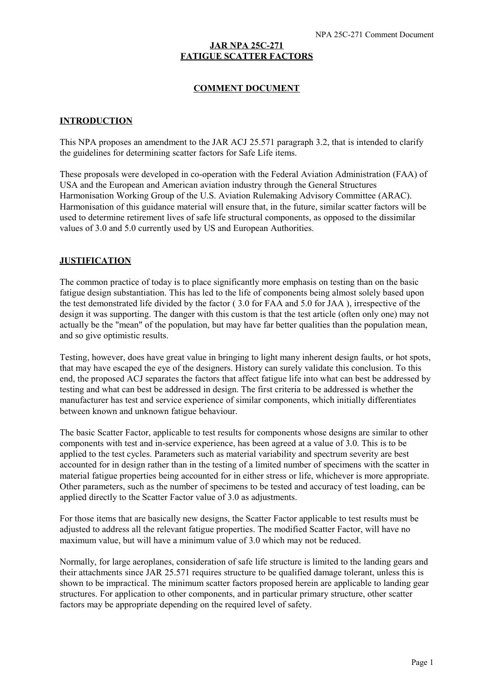#### **JAR NPA 25C-271 FATIGUE SCATTER FACTORS**

#### **COMMENT DOCUMENT**

#### **INTRODUCTION**

This NPA proposes an amendment to the JAR ACJ 25.571 paragraph 3.2, that is intended to clarify the guidelines for determining scatter factors for Safe Life items.

These proposals were developed in co-operation with the Federal Aviation Administration (FAA) of USA and the European and American aviation industry through the General Structures Harmonisation Working Group of the U.S. Aviation Rulemaking Advisory Committee (ARAC). Harmonisation of this guidance material will ensure that, in the future, similar scatter factors will be used to determine retirement lives of safe life structural components, as opposed to the dissimilar values of 3.0 and 5.0 currently used by US and European Authorities.

#### **JUSTIFICATION**

The common practice of today is to place significantly more emphasis on testing than on the basic fatigue design substantiation. This has led to the life of components being almost solely based upon the test demonstrated life divided by the factor ( 3.0 for FAA and 5.0 for JAA ), irrespective of the design it was supporting. The danger with this custom is that the test article (often only one) may not actually be the "mean" of the population, but may have far better qualities than the population mean, and so give optimistic results.

Testing, however, does have great value in bringing to light many inherent design faults, or hot spots, that may have escaped the eye of the designers. History can surely validate this conclusion. To this end, the proposed ACJ separates the factors that affect fatigue life into what can best be addressed by testing and what can best be addressed in design. The first criteria to be addressed is whether the manufacturer has test and service experience of similar components, which initially differentiates between known and unknown fatigue behaviour.

The basic Scatter Factor, applicable to test results for components whose designs are similar to other components with test and in-service experience, has been agreed at a value of 3.0. This is to be applied to the test cycles. Parameters such as material variability and spectrum severity are best accounted for in design rather than in the testing of a limited number of specimens with the scatter in material fatigue properties being accounted for in either stress or life, whichever is more appropriate. Other parameters, such as the number of specimens to be tested and accuracy of test loading, can be applied directly to the Scatter Factor value of 3.0 as adjustments.

For those items that are basically new designs, the Scatter Factor applicable to test results must be adjusted to address all the relevant fatigue properties. The modified Scatter Factor, will have no maximum value, but will have a minimum value of 3.0 which may not be reduced.

Normally, for large aeroplanes, consideration of safe life structure is limited to the landing gears and their attachments since JAR 25.571 requires structure to be qualified damage tolerant, unless this is shown to be impractical. The minimum scatter factors proposed herein are applicable to landing gear structures. For application to other components, and in particular primary structure, other scatter factors may be appropriate depending on the required level of safety.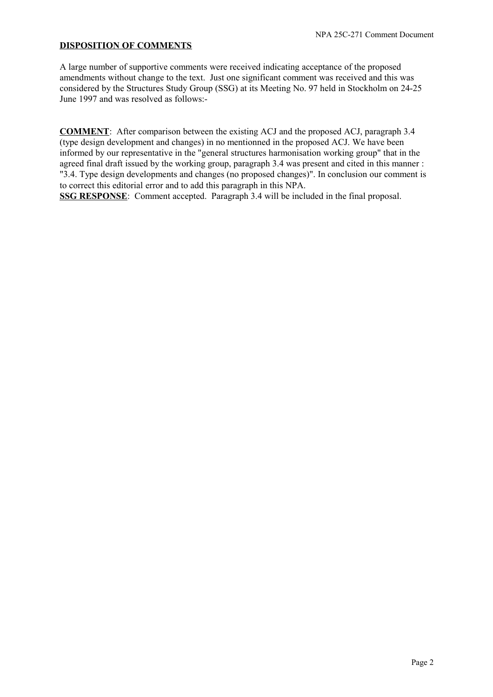#### **DISPOSITION OF COMMENTS**

A large number of supportive comments were received indicating acceptance of the proposed amendments without change to the text. Just one significant comment was received and this was considered by the Structures Study Group (SSG) at its Meeting No. 97 held in Stockholm on 24-25 June 1997 and was resolved as follows:-

**COMMENT**: After comparison between the existing ACJ and the proposed ACJ, paragraph 3.4 (type design development and changes) in no mentionned in the proposed ACJ. We have been informed by our representative in the "general structures harmonisation working group" that in the agreed final draft issued by the working group, paragraph 3.4 was present and cited in this manner : "3.4. Type design developments and changes (no proposed changes)". In conclusion our comment is to correct this editorial error and to add this paragraph in this NPA.

**SSG RESPONSE**: Comment accepted. Paragraph 3.4 will be included in the final proposal.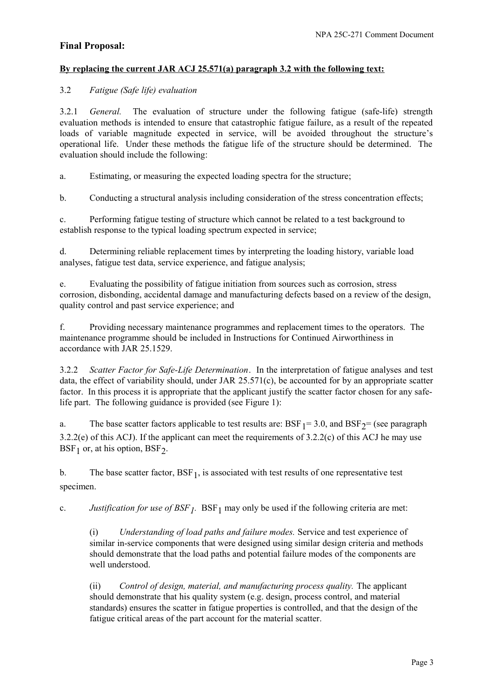# **Final Proposal:**

### **By replacing the current JAR ACJ 25.571(a) paragraph 3.2 with the following text:**

## 3.2 *Fatigue (Safe life) evaluation*

3.2.1 *General.* The evaluation of structure under the following fatigue (safe-life) strength evaluation methods is intended to ensure that catastrophic fatigue failure, as a result of the repeated loads of variable magnitude expected in service, will be avoided throughout the structure's operational life. Under these methods the fatigue life of the structure should be determined. The evaluation should include the following:

a. Estimating, or measuring the expected loading spectra for the structure;

b. Conducting a structural analysis including consideration of the stress concentration effects;

c. Performing fatigue testing of structure which cannot be related to a test background to establish response to the typical loading spectrum expected in service;

d. Determining reliable replacement times by interpreting the loading history, variable load analyses, fatigue test data, service experience, and fatigue analysis;

e. Evaluating the possibility of fatigue initiation from sources such as corrosion, stress corrosion, disbonding, accidental damage and manufacturing defects based on a review of the design, quality control and past service experience; and

f. Providing necessary maintenance programmes and replacement times to the operators. The maintenance programme should be included in Instructions for Continued Airworthiness in accordance with JAR 25.1529.

3.2.2 *Scatter Factor for Safe-Life Determination*. In the interpretation of fatigue analyses and test data, the effect of variability should, under JAR 25.571(c), be accounted for by an appropriate scatter factor. In this process it is appropriate that the applicant justify the scatter factor chosen for any safelife part. The following guidance is provided (see Figure 1):

a. The base scatter factors applicable to test results are:  $BSF_1 = 3.0$ , and  $BSF_2 = (see paragraph)$ 3.2.2(e) of this ACJ). If the applicant can meet the requirements of 3.2.2(c) of this ACJ he may use  $BSF<sub>1</sub>$  or, at his option,  $BSF<sub>2</sub>$ .

b. The base scatter factor,  $BSF_1$ , is associated with test results of one representative test specimen.

c. *Justification for use of BSF<sub>1</sub>*. BSF<sub>1</sub> may only be used if the following criteria are met:

(i) *Understanding of load paths and failure modes.* Service and test experience of similar in-service components that were designed using similar design criteria and methods should demonstrate that the load paths and potential failure modes of the components are well understood.

(ii) *Control of design, material, and manufacturing process quality.* The applicant should demonstrate that his quality system (e.g. design, process control, and material standards) ensures the scatter in fatigue properties is controlled, and that the design of the fatigue critical areas of the part account for the material scatter.